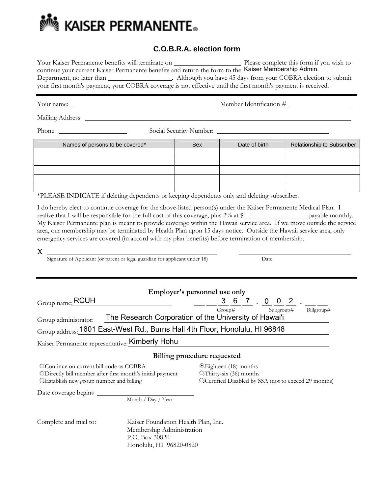

## **C.O.B.R.A. election form**

| Your Kaiser Permanente benefits will terminate on | Please complete this form if you wish to                                                                      |  |
|---------------------------------------------------|---------------------------------------------------------------------------------------------------------------|--|
|                                                   | continue your current Kaiser Permanente benefits and return the form to the Kaiser Membership Admin.          |  |
| Department, no later than                         | Although you have 45 days from your COBRA election to submit                                                  |  |
|                                                   | your first month's payment, your COBRA coverage is not effective until the first month's payment is received. |  |

Your name: Member Identification #

Mailing Address:

Phone: Social Security Number:

| Names of persons to be covered* | <b>Sex</b> | Date of birth | Relationship to Subscriber |
|---------------------------------|------------|---------------|----------------------------|
|                                 |            |               |                            |
|                                 |            |               |                            |
|                                 |            |               |                            |
|                                 |            |               |                            |
|                                 |            |               |                            |

\*PLEASE INDICATE if deleting dependents or keeping dependents only and deleting subscriber.

I do hereby elect to continue coverage for the above-listed person(s) under the Kaiser Permanente Medical Plan. I realize that I will be responsible for the full cost of this coverage, plus 2% at \$ payable monthly. My Kaiser Permanente plan is meant to provide coverage within the Hawaii service area. If we move outside the service area, our membership may be terminated by Health Plan upon 15 days notice. Outside the Hawaii service area, only emergency services are covered (in accord with my plan benefits) before termination of membership.

|  | Signature of Applicant (or parent or legal guardian for applicant under 18) | Date |  |
|--|-----------------------------------------------------------------------------|------|--|

| Employer's personnel use only                                                                                                                     |                                                                                                                     |  |  |  |  |  |
|---------------------------------------------------------------------------------------------------------------------------------------------------|---------------------------------------------------------------------------------------------------------------------|--|--|--|--|--|
| Group name: RCUH                                                                                                                                  | $7 \t 0$<br>3 6<br>$2 \quad$                                                                                        |  |  |  |  |  |
|                                                                                                                                                   | Subgroup#<br>Billgroup#<br>Group#                                                                                   |  |  |  |  |  |
| The Research Corporation of the University of Hawai'i<br>Group administrator:                                                                     |                                                                                                                     |  |  |  |  |  |
| Group address: 1601 East-West Rd., Burns Hall 4th Floor, Honolulu, HI 96848                                                                       |                                                                                                                     |  |  |  |  |  |
| Kaiser Permanente representative: Kimberly Hohu                                                                                                   |                                                                                                                     |  |  |  |  |  |
| <b>Billing procedure requested</b>                                                                                                                |                                                                                                                     |  |  |  |  |  |
| CContinue on current bill-code as COBRA<br>O. Directly bill member after first month's initial payment<br>OEstablish new group number and billing | <b>Elighteen</b> (18) months<br>$Q$ Thirty-six (36) months<br>OlCertified Disabled by SSA (not to exceed 29 months) |  |  |  |  |  |
| Date coverage begins                                                                                                                              |                                                                                                                     |  |  |  |  |  |

Month / Day / Year

Complete and mail to: Kaiser Foundation Health Plan, Inc. Membership Administration P.O. Box 30820 Honolulu, HI 96820-0820